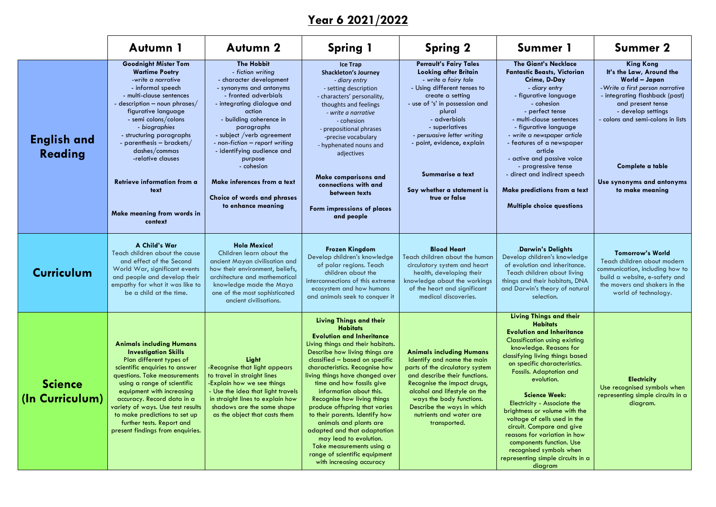**Year 6 2021/2022**

**King Kong It's the Law, Around the World – Japan** *-Write a first person narrative* - integrating flashback (past) and present tense - develop settings - colons and semi-colons in lists

### **Complete a table**

**Use synonyms and antonyms to make meaning**

|                                   | Autumn 1                                                                                                                                                                                                                                                                                                                                                                                                        | <b>Autumn 2</b>                                                                                                                                                                                                                                                                                                                                                                                                  | <b>Spring 1</b>                                                                                                                                                                                                                                                                                                                                                                                                                                                                                                                                                                                            | <b>Spring 2</b>                                                                                                                                                                                                                                                                                                                                        | Summer 1                                                                                                                                                                                                                                                                                                                                                                                                                                                                                                                                                                      | <b>Summer 2</b>                                                                                                                                                                                                                                                     |
|-----------------------------------|-----------------------------------------------------------------------------------------------------------------------------------------------------------------------------------------------------------------------------------------------------------------------------------------------------------------------------------------------------------------------------------------------------------------|------------------------------------------------------------------------------------------------------------------------------------------------------------------------------------------------------------------------------------------------------------------------------------------------------------------------------------------------------------------------------------------------------------------|------------------------------------------------------------------------------------------------------------------------------------------------------------------------------------------------------------------------------------------------------------------------------------------------------------------------------------------------------------------------------------------------------------------------------------------------------------------------------------------------------------------------------------------------------------------------------------------------------------|--------------------------------------------------------------------------------------------------------------------------------------------------------------------------------------------------------------------------------------------------------------------------------------------------------------------------------------------------------|-------------------------------------------------------------------------------------------------------------------------------------------------------------------------------------------------------------------------------------------------------------------------------------------------------------------------------------------------------------------------------------------------------------------------------------------------------------------------------------------------------------------------------------------------------------------------------|---------------------------------------------------------------------------------------------------------------------------------------------------------------------------------------------------------------------------------------------------------------------|
| <b>English and</b><br>Reading     | <b>Goodnight Mister Tom</b><br><b>Wartime Poetry</b><br>-write a narrative<br>- informal speech<br>- multi-clause sentences<br>- description $-$ noun phrases/<br>figurative language<br>- semi colons/colons<br>- biographies<br>- structuring paragraphs<br>- parenthesis $-$ brackets/<br>dashes/commas<br>-relative clauses<br>Retrieve information from a<br>text<br>Make meaning from words in<br>context | <b>The Hobbit</b><br>- fiction writing<br>- character development<br>- synonyms and antonyms<br>- fronted adverbials<br>- integrating dialogue and<br>action<br>- building coherence in<br>paragraphs<br>- subject / verb agreement<br>- non-fiction - report writing<br>- identifying audience and<br>purpose<br>- cohesion<br>Make inferences from a text<br>Choice of words and phrases<br>to enhance meaning | <b>Ice Trap</b><br><b>Shackleton's Journey</b><br>- diary entry<br>- setting description<br>- characters' personality,<br>thoughts and feelings<br>- write a narrative<br>- cohesion<br>- prepositional phrases<br>-precise vocabulary<br>- hyphenated nouns and<br>adjectives<br><b>Make comparisons and</b><br>connections with and<br>between texts<br>Form impressions of places<br>and people                                                                                                                                                                                                         | <b>Perrault's Fairy Tales</b><br><b>Looking after Britain</b><br>- write a fairy tale<br>- Using different tenses to<br>create a setting<br>- use of 's' in possession and<br>plural<br>- adverbials<br>- superlatives<br>- persuasive letter writing<br>- point, evidence, explain<br>Summarise a text<br>Say whether a statement is<br>true or false | <b>The Giant's Necklace</b><br><b>Fantastic Beasts, Victorian</b><br>Crime, D-Day<br>- diary entry<br>- figurative language<br>- cohesion<br>- perfect tense<br>- multi-clause sentences<br>- figurative language<br>- write a newspaper article<br>- features of a newspaper<br>article<br>- active and passive voice<br>- progressive tense<br>- direct and indirect speech<br>Make predictions from a text<br><b>Multiple choice questions</b>                                                                                                                             | <b>King Kong</b><br>It's the Law, Around<br><b>World - Japan</b><br>- Write a first person nari<br>- integrating flashback (<br>and present tense<br>- develop settings<br>- colons and semi-colons<br>Complete a table<br>Use synonyms and anto<br>to make meaning |
| <b>Curriculum</b>                 | A Child's War<br>Teach children about the cause<br>and effect of the Second<br>World War, significant events<br>and people and develop their<br>empathy for what it was like to<br>be a child at the time.                                                                                                                                                                                                      | <b>Hola Mexico!</b><br>Children learn about the<br>ancient Mayan civilisation and<br>how their environment, beliefs,<br>architecture and mathematical<br>knowledge made the Maya<br>one of the most sophisticated<br>ancient civilisations.                                                                                                                                                                      | <b>Frozen Kingdom</b><br>Develop children's knowledge<br>of polar regions. Teach<br>children about the<br>interconnections of this extreme<br>ecosystem and how humans<br>and animals seek to conquer it                                                                                                                                                                                                                                                                                                                                                                                                   | <b>Blood Heart</b><br>Teach children about the human<br>circulatory system and heart<br>health, developing their<br>knowledge about the workings<br>of the heart and significant<br>medical discoveries.                                                                                                                                               | <b>.Darwin's Delights</b><br>Develop children's knowledge<br>of evolution and inheritance.<br>Teach children about living<br>things and their habitats, DNA<br>and Darwin's theory of natural<br>selection.                                                                                                                                                                                                                                                                                                                                                                   | <b>Tomorrow's World</b><br>Teach children about mo<br>communication, including<br>build a website, e-safet<br>the movers and shakers<br>world of technology                                                                                                         |
| <b>Science</b><br>(In Curriculum) | <b>Animals including Humans</b><br><b>Investigation Skills</b><br>Plan different types of<br>scientific enquiries to answer<br>questions. Take measurements<br>using a range of scientific<br>equipment with increasing<br>accuracy. Record data in a<br>variety of ways. Use test results<br>to make predictions to set up<br>further tests. Report and<br>present findings from enquiries.                    | Light<br>-Recognise that light appears<br>to travel in straight lines<br>-Explain how we see things<br>- Use the idea that light travels<br>in straight lines to explain how<br>shadows are the same shape<br>as the object that casts them                                                                                                                                                                      | <b>Living Things and their</b><br><b>Habitats</b><br><b>Evolution and Inheritance</b><br>Living things and their habitats.<br>Describe how living things are<br>classified - based on specific<br>characteristics. Recognise how<br>living things have changed over<br>time and how fossils give<br>information about this.<br>Recognise how living things<br>produce offspring that varies<br>to their parents. Identify how<br>animals and plants are<br>adapted and that adaptation<br>may lead to evolution.<br>Take measurements using a<br>range of scientific equipment<br>with increasing accuracy | <b>Animals including Humans</b><br>Identify and name the main<br>parts of the circulatory system<br>and describe their functions.<br>Recognise the impact drugs,<br>alcohol and lifestyle on the<br>ways the body functions.<br>Describe the ways in which<br>nutrients and water are<br>transported.                                                  | <b>Living Things and their</b><br><b>Habitats</b><br><b>Evolution and Inheritance</b><br><b>Classification using existing</b><br>knowledge. Reasons for<br>classifying living things based<br>on specific characteristics.<br><b>Fossils. Adaptation and</b><br>evolution.<br><b>Science Week:</b><br><b>Electricity - Associate the</b><br>brightness or volume with the<br>voltage of cells used in the<br>circuit. Compare and give<br>reasons for variation in how<br>components function. Use<br>recognised symbols when<br>representing simple circuits in a<br>diagram | <b>Electricity</b><br>Use recognised symbols<br>representing simple circui<br>diagram.                                                                                                                                                                              |

# **Lings and their Habitats Evolution and Inheritance**

# .**Darwin's Delights**

## **Tomorrow's World**

Teach children about modern communication, including how to build a website, e-safety and the movers and shakers in the world of technology.

### **Science Week:**

**Electricity** Use recognised symbols when representing simple circuits in a diagram.